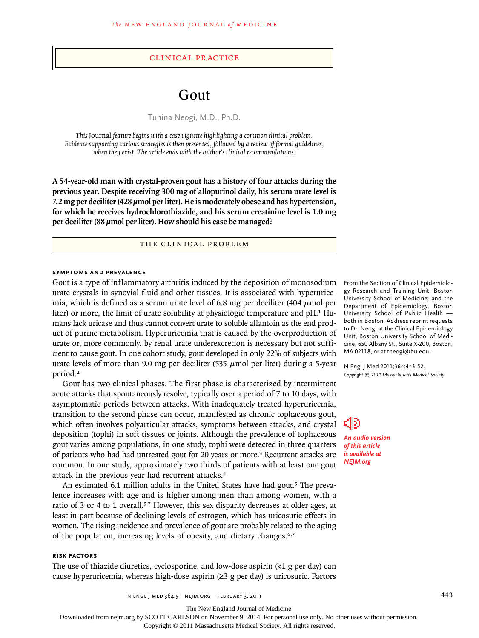#### clinical practice

# Gout

Tuhina Neogi, M.D., Ph.D.

*This* Journal *feature begins with a case vignette highlighting a common clinical problem. Evidence supporting various strategies is then presented, followed by a review of formal guidelines, when they exist. The article ends with the author's clinical recommendations.* 

**A 54-year-old man with crystal-proven gout has a history of four attacks during the previous year. Despite receiving 300 mg of allopurinol daily, his serum urate level is 7.2 mg per deciliter (428 μmol per liter). He is moderately obese and has hypertension, for which he receives hydrochlorothiazide, and his serum creatinine level is 1.0 mg per deciliter (88 μmol per liter). How should his case be managed?**

#### The Clinic a l Problem

#### **Symptoms and Prevalence**

Gout is a type of inflammatory arthritis induced by the deposition of monosodium urate crystals in synovial fluid and other tissues. It is associated with hyperuricemia, which is defined as a serum urate level of 6.8 mg per deciliter (404  $\mu$ mol per liter) or more, the limit of urate solubility at physiologic temperature and pH.<sup>1</sup> Humans lack uricase and thus cannot convert urate to soluble allantoin as the end product of purine metabolism. Hyperuricemia that is caused by the overproduction of urate or, more commonly, by renal urate underexcretion is necessary but not sufficient to cause gout. In one cohort study, gout developed in only 22% of subjects with urate levels of more than 9.0 mg per deciliter (535  $\mu$ mol per liter) during a 5-year period.<sup>2</sup>

Gout has two clinical phases. The first phase is characterized by intermittent acute attacks that spontaneously resolve, typically over a period of 7 to 10 days, with asymptomatic periods between attacks. With inadequately treated hyperuricemia, transition to the second phase can occur, manifested as chronic tophaceous gout, which often involves polyarticular attacks, symptoms between attacks, and crystal deposition (tophi) in soft tissues or joints. Although the prevalence of tophaceous gout varies among populations, in one study, tophi were detected in three quarters of patients who had had untreated gout for 20 years or more.3 Recurrent attacks are common. In one study, approximately two thirds of patients with at least one gout attack in the previous year had recurrent attacks.<sup>4</sup>

An estimated 6.1 million adults in the United States have had gout.<sup>5</sup> The prevalence increases with age and is higher among men than among women, with a ratio of 3 or 4 to 1 overall.<sup>5-7</sup> However, this sex disparity decreases at older ages, at least in part because of declining levels of estrogen, which has uricosuric effects in women. The rising incidence and prevalence of gout are probably related to the aging of the population, increasing levels of obesity, and dietary changes.<sup>6,7</sup>

## **Risk Factors**

The use of thiazide diuretics, cyclosporine, and low-dose aspirin (<1 g per day) can cause hyperuricemia, whereas high-dose aspirin (≥3 g per day) is uricosuric. Factors

From the Section of Clinical Epidemiology Research and Training Unit, Boston University School of Medicine; and the Department of Epidemiology, Boston University School of Public Health both in Boston. Address reprint requests to Dr. Neogi at the Clinical Epidemiology Unit, Boston University School of Medicine, 650 Albany St., Suite X-200, Boston, MA 02118, or at tneogi@bu.edu.

N Engl J Med 2011;364:443-52. *Copyright © 2011 Massachusetts Medical Society.*

ี 43

*An audio version of this article is available at NEJM.org*

n engl j med 364;5 nejm.org february 3, 2011 443

The New England Journal of Medicine

Downloaded from nejm.org by SCOTT CARLSON on November 9, 2014. For personal use only. No other uses without permission.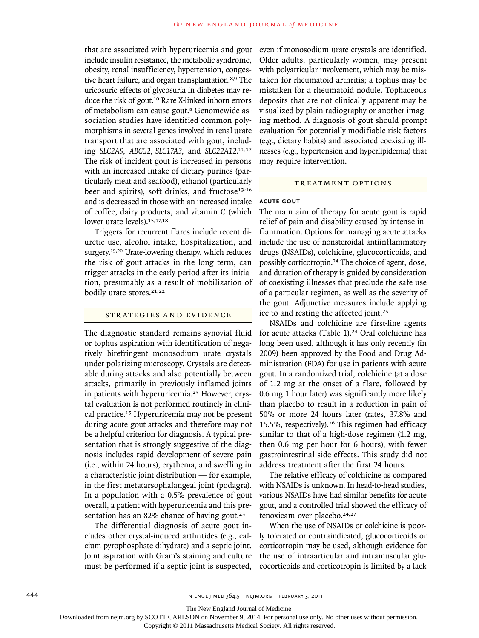that are associated with hyperuricemia and gout include insulin resistance, the metabolic syndrome, obesity, renal insufficiency, hypertension, congestive heart failure, and organ transplantation.8,9 The uricosuric effects of glycosuria in diabetes may reduce the risk of gout.<sup>10</sup> Rare X-linked inborn errors of metabolism can cause gout.<sup>8</sup> Genomewide association studies have identified common polymorphisms in several genes involved in renal urate transport that are associated with gout, including *SLC2A9, ABCG2, SLC17A3,* and *SLC22A12*. 11,12 The risk of incident gout is increased in persons with an increased intake of dietary purines (particularly meat and seafood), ethanol (particularly beer and spirits), soft drinks, and fructose<sup>13-16</sup> and is decreased in those with an increased intake of coffee, dairy products, and vitamin C (which lower urate levels).<sup>15,17,18</sup>

Triggers for recurrent flares include recent diuretic use, alcohol intake, hospitalization, and surgery.19,20 Urate-lowering therapy, which reduces the risk of gout attacks in the long term, can trigger attacks in the early period after its initiation, presumably as a result of mobilization of bodily urate stores.<sup>21,22</sup>

## STRATEGIES AND EVIDENCE

The diagnostic standard remains synovial fluid or tophus aspiration with identification of negatively birefringent monosodium urate crystals under polarizing microscopy. Crystals are detectable during attacks and also potentially between attacks, primarily in previously inflamed joints in patients with hyperuricemia.<sup>23</sup> However, crystal evaluation is not performed routinely in clinical practice.15 Hyperuricemia may not be present during acute gout attacks and therefore may not be a helpful criterion for diagnosis. A typical presentation that is strongly suggestive of the diagnosis includes rapid development of severe pain (i.e., within 24 hours), erythema, and swelling in a characteristic joint distribution — for example, in the first metatarsophalangeal joint (podagra). In a population with a 0.5% prevalence of gout overall, a patient with hyperuricemia and this presentation has an 82% chance of having gout.<sup>23</sup>

The differential diagnosis of acute gout includes other crystal-induced arthritides (e.g., calcium pyrophosphate dihydrate) and a septic joint. Joint aspiration with Gram's staining and culture must be performed if a septic joint is suspected, even if monosodium urate crystals are identified. Older adults, particularly women, may present with polyarticular involvement, which may be mistaken for rheumatoid arthritis; a tophus may be mistaken for a rheumatoid nodule. Tophaceous deposits that are not clinically apparent may be visualized by plain radiography or another imaging method. A diagnosis of gout should prompt evaluation for potentially modifiable risk factors (e.g., dietary habits) and associated coexisting illnesses (e.g., hypertension and hyperlipidemia) that may require intervention.

#### TREATMENT OPTIONS

#### **Acute Gout**

The main aim of therapy for acute gout is rapid relief of pain and disability caused by intense inflammation. Options for managing acute attacks include the use of nonsteroidal antiinflammatory drugs (NSAIDs), colchicine, glucocorticoids, and possibly corticotropin.24 The choice of agent, dose, and duration of therapy is guided by consideration of coexisting illnesses that preclude the safe use of a particular regimen, as well as the severity of the gout. Adjunctive measures include applying ice to and resting the affected joint.<sup>25</sup>

NSAIDs and colchicine are first-line agents for acute attacks (Table 1).<sup>24</sup> Oral colchicine has long been used, although it has only recently (in 2009) been approved by the Food and Drug Administration (FDA) for use in patients with acute gout. In a randomized trial, colchicine (at a dose of 1.2 mg at the onset of a flare, followed by 0.6 mg 1 hour later) was significantly more likely than placebo to result in a reduction in pain of 50% or more 24 hours later (rates, 37.8% and 15.5%, respectively).26 This regimen had efficacy similar to that of a high-dose regimen (1.2 mg, then 0.6 mg per hour for 6 hours), with fewer gastrointestinal side effects. This study did not address treatment after the first 24 hours.

The relative efficacy of colchicine as compared with NSAIDs is unknown. In head-to-head studies, various NSAIDs have had similar benefits for acute gout, and a controlled trial showed the efficacy of tenoxicam over placebo.<sup>24,27</sup>

When the use of NSAIDs or colchicine is poorly tolerated or contraindicated, glucocorticoids or corticotropin may be used, although evidence for the use of intraarticular and intramuscular glucocorticoids and corticotropin is limited by a lack

The New England Journal of Medicine

Downloaded from nejm.org by SCOTT CARLSON on November 9, 2014. For personal use only. No other uses without permission.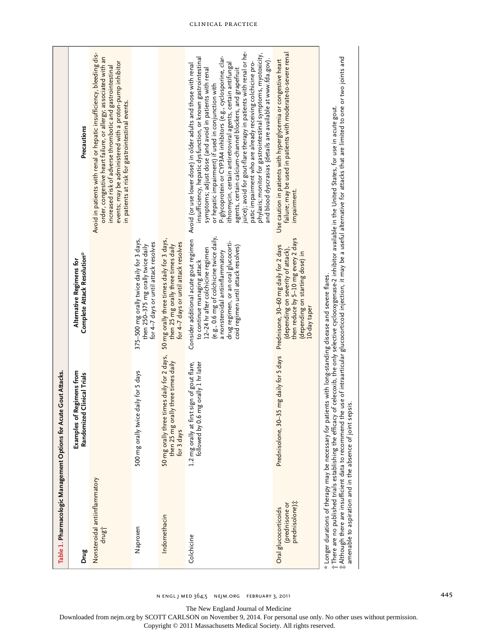|                                                                                                                                                                           | Table 1. Pharmacologic Management Options for Acute Gout Attacks.                               |                                                                                                                                                                                                                                                                          |                                                                                                                                                                                                                                                                                                                                                                                                                                                                                                                                                                                                                                                                                                                     |
|---------------------------------------------------------------------------------------------------------------------------------------------------------------------------|-------------------------------------------------------------------------------------------------|--------------------------------------------------------------------------------------------------------------------------------------------------------------------------------------------------------------------------------------------------------------------------|---------------------------------------------------------------------------------------------------------------------------------------------------------------------------------------------------------------------------------------------------------------------------------------------------------------------------------------------------------------------------------------------------------------------------------------------------------------------------------------------------------------------------------------------------------------------------------------------------------------------------------------------------------------------------------------------------------------------|
| Drug                                                                                                                                                                      | <b>Examples of Regimens from</b><br>Randomized Clinical Trials                                  | Complete Attack Resolution*<br><b>Alternative Regimens for</b>                                                                                                                                                                                                           | Precautions                                                                                                                                                                                                                                                                                                                                                                                                                                                                                                                                                                                                                                                                                                         |
| Nonsteroidal antiinflammatory<br>drug <sup>-</sup>                                                                                                                        |                                                                                                 |                                                                                                                                                                                                                                                                          | Avoid in patients with renal or hepatic insufficiency, bleeding dis-<br>order, congestive heart failure, or allergy; associated with an<br>events; may be administered with a proton-pump inhibitor<br>increased risk of adverse thrombotic and gastrointestinal<br>in patients at risk for gastrointestinal events.                                                                                                                                                                                                                                                                                                                                                                                                |
| Naproxen                                                                                                                                                                  | 500 mg orally twice daily for 5 days                                                            | 375–500 mg orally twice daily for 3 days,<br>for 4-7 days or until attack resolves<br>then 250-375 mg orally twice daily                                                                                                                                                 |                                                                                                                                                                                                                                                                                                                                                                                                                                                                                                                                                                                                                                                                                                                     |
| Indomethacin                                                                                                                                                              | 50 mg orally three times daily for 2 days,<br>then 25 mg orally three times daily<br>for 3 days | 50 mg orally three times daily for 3 days,<br>for 4-7 days or until attack resolves<br>then 25 mg orally three times daily                                                                                                                                               |                                                                                                                                                                                                                                                                                                                                                                                                                                                                                                                                                                                                                                                                                                                     |
| Colchicine                                                                                                                                                                | first sign of gout flare,<br>.6 mg orally 1 hr later<br>followed by 0<br>1.2 mg orally at       | (e.g., 0.6 mg of colchicine twice daily,<br>Consider additional acute gout regimen<br>drug regimen, or an oral glucocorti-<br>coid regimen until attack resolves)<br>12-24 hr after colchicine regimen<br>a nonsteroidal antiinflammatory<br>to continue managing attack | uice); avoid for gout-flare therapy in patients with renal or he-<br>phylaxis; monitor for gastrointestinal symptoms, myotoxicity,<br>P-glycoprotein or CYP3A4 inhibitors (e.g., cyclosporine, clar-<br>insufficiency, hepatic dysfunction, or known gastrointestinal<br>and blood dyscrasias (details are available at www.fda.gov).<br>patic impairment who are already receiving colchicine pro-<br>ithromycin, certain antiretroviral agents, certain antifungal<br>Avoid (or use lower dose) in older adults and those with renal<br>agents, certain calcium-channel blockers, and grapefruit<br>symptoms; adjust dose (and avoid in patients with renal<br>or hepatic impairment) if used in conjunction with |
| prednisolone);<br>(prednisone or<br>Oral glucocorticoids                                                                                                                  | Prednisolone, 30-35 mg daily for 5 days                                                         | then reduce by 5-10 mg every 2 days<br>Prednisone, 30-60 mg daily for 2 days<br>(depending on severity of attack),<br>depending on starting dose) in<br>10-day taper                                                                                                     | failure; may be used in patients with moderate-to-severe renal<br>Use caution in patients with hyperglycemia or congestive heart<br>impairment                                                                                                                                                                                                                                                                                                                                                                                                                                                                                                                                                                      |
| amenable to aspiration and in the absence of joint sepsis.<br>* Longer durations of therapy may be necessary for p<br>t Although there are insufficient data to recommend |                                                                                                 | patients with long-standing disease and severe flares.                                                                                                                                                                                                                   | the use of intraarticular glucocorticoid injection, it may be a useful alternative for attacks that are limited to one or two joints and<br>†There are no published trials establishing the efficacy of celecoxib, the only selective cyclooxygenase 2 inhibitor available in the United States, for use in acute gout.                                                                                                                                                                                                                                                                                                                                                                                             |

clinical pr actice

The New England Journal of Medicine

Downloaded from nejm.org by SCOTT CARLSON on November 9, 2014. For personal use only. No other uses without permission.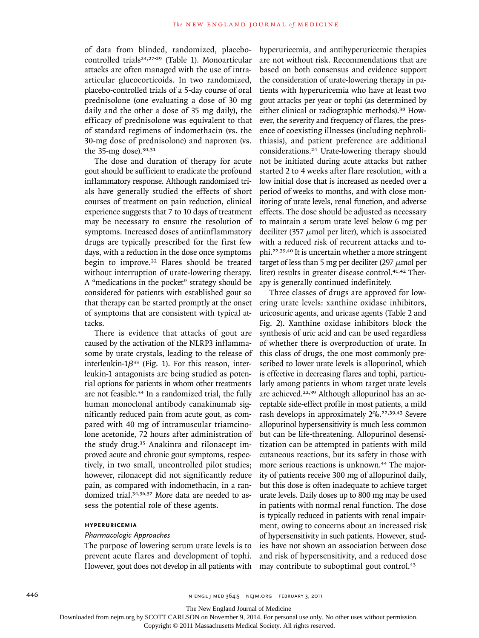of data from blinded, randomized, placebocontrolled trials<sup>24,27-29</sup> (Table 1). Monoarticular attacks are often managed with the use of intraarticular glucocorticoids. In two randomized, placebo-controlled trials of a 5-day course of oral prednisolone (one evaluating a dose of 30 mg daily and the other a dose of 35 mg daily), the efficacy of prednisolone was equivalent to that of standard regimens of indomethacin (vs. the 30-mg dose of prednisolone) and naproxen (vs. the  $35$ -mg dose).  $30,31$ 

The dose and duration of therapy for acute gout should be sufficient to eradicate the profound inflammatory response. Although randomized trials have generally studied the effects of short courses of treatment on pain reduction, clinical experience suggests that 7 to 10 days of treatment may be necessary to ensure the resolution of symptoms. Increased doses of antiinflammatory drugs are typically prescribed for the first few days, with a reduction in the dose once symptoms begin to improve.<sup>32</sup> Flares should be treated without interruption of urate-lowering therapy. A "medications in the pocket" strategy should be considered for patients with established gout so that therapy can be started promptly at the onset of symptoms that are consistent with typical attacks.

There is evidence that attacks of gout are caused by the activation of the NLRP3 inflammasome by urate crystals, leading to the release of interleukin- $1\beta^{33}$  (Fig. 1). For this reason, interleukin-1 antagonists are being studied as potential options for patients in whom other treatments are not feasible.34 In a randomized trial, the fully human monoclonal antibody canakinumab significantly reduced pain from acute gout, as compared with 40 mg of intramuscular triamcinolone acetonide, 72 hours after administration of the study drug.35 Anakinra and rilonacept improved acute and chronic gout symptoms, respectively, in two small, uncontrolled pilot studies; however, rilonacept did not significantly reduce pain, as compared with indomethacin, in a randomized trial.34,36,37 More data are needed to assess the potential role of these agents.

## **Hyperuricemia**

## *Pharmacologic Approaches*

The purpose of lowering serum urate levels is to prevent acute flares and development of tophi. However, gout does not develop in all patients with hyperuricemia, and antihyperuricemic therapies are not without risk. Recommendations that are based on both consensus and evidence support the consideration of urate-lowering therapy in patients with hyperuricemia who have at least two gout attacks per year or tophi (as determined by either clinical or radiographic methods).38 However, the severity and frequency of flares, the presence of coexisting illnesses (including nephrolithiasis), and patient preference are additional considerations.24 Urate-lowering therapy should not be initiated during acute attacks but rather started 2 to 4 weeks after flare resolution, with a low initial dose that is increased as needed over a period of weeks to months, and with close monitoring of urate levels, renal function, and adverse effects. The dose should be adjusted as necessary to maintain a serum urate level below 6 mg per deciliter (357  $\mu$ mol per liter), which is associated with a reduced risk of recurrent attacks and tophi.22,39,40 It is uncertain whether a more stringent target of less than 5 mg per deciliter (297  $\mu$ mol per liter) results in greater disease control.<sup>41,42</sup> Therapy is generally continued indefinitely.

Three classes of drugs are approved for lowering urate levels: xanthine oxidase inhibitors, uricosuric agents, and uricase agents (Table 2 and Fig. 2). Xanthine oxidase inhibitors block the synthesis of uric acid and can be used regardless of whether there is overproduction of urate. In this class of drugs, the one most commonly prescribed to lower urate levels is allopurinol, which is effective in decreasing flares and tophi, particularly among patients in whom target urate levels are achieved.22,39 Although allopurinol has an acceptable side-effect profile in most patients, a mild rash develops in approximately 2%.<sup>22,39,43</sup> Severe allopurinol hypersensitivity is much less common but can be life-threatening. Allopurinol desensitization can be attempted in patients with mild cutaneous reactions, but its safety in those with more serious reactions is unknown.<sup>44</sup> The majority of patients receive 300 mg of allopurinol daily, but this dose is often inadequate to achieve target urate levels. Daily doses up to 800 mg may be used in patients with normal renal function. The dose is typically reduced in patients with renal impairment, owing to concerns about an increased risk of hypersensitivity in such patients. However, studies have not shown an association between dose and risk of hypersensitivity, and a reduced dose may contribute to suboptimal gout control.<sup>43</sup>

446 **120 1 Engl j med 364;5 NEIM.ORG FEBRUARY 3, 2011** 

The New England Journal of Medicine

Downloaded from nejm.org by SCOTT CARLSON on November 9, 2014. For personal use only. No other uses without permission.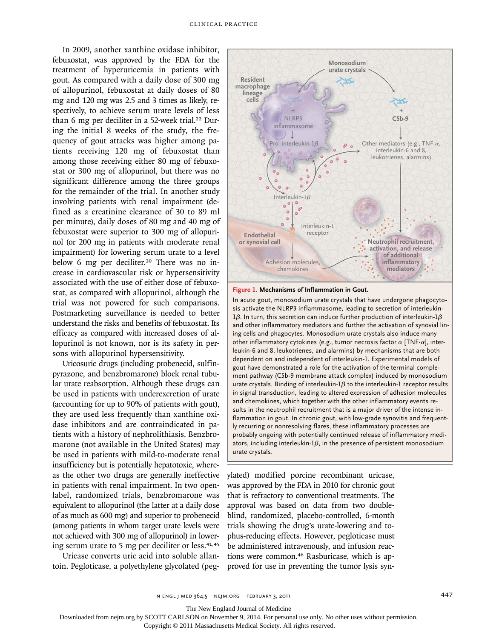In 2009, another xanthine oxidase inhibitor, febuxostat, was approved by the FDA for the treatment of hyperuricemia in patients with gout. As compared with a daily dose of 300 mg of allopurinol, febuxostat at daily doses of 80 mg and 120 mg was 2.5 and 3 times as likely, respectively, to achieve serum urate levels of less than 6 mg per deciliter in a 52-week trial.<sup>22</sup> During the initial 8 weeks of the study, the frequency of gout attacks was higher among patients receiving 120 mg of febuxostat than among those receiving either 80 mg of febuxostat or 300 mg of allopurinol, but there was no significant difference among the three groups for the remainder of the trial. In another study involving patients with renal impairment (defined as a creatinine clearance of 30 to 89 ml per minute), daily doses of 80 mg and 40 mg of febuxostat were superior to 300 mg of allopurinol (or 200 mg in patients with moderate renal impairment) for lowering serum urate to a level below 6 mg per deciliter.<sup>39</sup> There was no increase in cardiovascular risk or hypersensitivity associated with the use of either dose of febuxostat, as compared with allopurinol, although the trial was not powered for such comparisons. Postmarketing surveillance is needed to better understand the risks and benefits of febuxostat. Its efficacy as compared with increased doses of allopurinol is not known, nor is its safety in persons with allopurinol hypersensitivity.

Uricosuric drugs (including probenecid, sulfinpyrazone, and benzbromarone) block renal tubular urate reabsorption. Although these drugs can be used in patients with underexcretion of urate (accounting for up to 90% of patients with gout), they are used less frequently than xanthine oxidase inhibitors and are contraindicated in patients with a history of nephrolithiasis. Benzbromarone (not available in the United States) may be used in patients with mild-to-moderate renal insufficiency but is potentially hepatotoxic, whereas the other two drugs are generally ineffective in patients with renal impairment. In two openlabel, randomized trials, benzbromarone was equivalent to allopurinol (the latter at a daily dose of as much as 600 mg) and superior to probenecid (among patients in whom target urate levels were not achieved with 300 mg of allopurinol) in lowering serum urate to 5 mg per deciliter or less. $41,45$ 

Uricase converts uric acid into soluble allantoin. Pegloticase, a polyethylene glycolated (peg-



**Figure 1. Mechanisms of Inflammation in Gout.**

 $\frac{1}{1}$  been on other inflammatory cytokines (e.g., tumor necrosis factor α [TNF-α], inter-In acute gout, monosodium urate crystals that have undergone phagocytoleukin-6 and 8, leukotrienes, and alarmins) by mechanisms that are both dependent on and independent of interleukin-1. Experimental models of sis activate the NLRP3 inflammasome, leading to secretion of interleukin-1β. In turn, this secretion can induce further production of interleukin-1β ing cells and phagocytes. Monosodium urate crystals also induce many gout have demonstrated a role for the activation of the terminal compleand other inflammatory mediators and further the activation of synovial linment pathway (C5b-9 membrane attack complex) induced by monosodium urate crystals. Binding of interleukin-1 $\beta$  to the interleukin-1 receptor results in signal transduction, leading to altered expression of adhesion molecules and chemokines, which together with the other inflammatory events results in the neutrophil recruitment that is a major driver of the intense inflammation in gout. In chronic gout, with low-grade synovitis and frequently recurring or nonresolving flares, these inflammatory processes are probably ongoing with potentially continued release of inflammatory mediators, including interleukin-1 $\beta$ , in the presence of persistent monosodium urate crystals.

y lated) modified porcine recombinant uricase, was approved by the FDA in 2010 for chronic gout that is refractory to conventional treatments. The approval was based on data from two doubleblind, randomized, placebo-controlled, 6-month trials showing the drug's urate-lowering and tophus-reducing effects. However, pegloticase must be administered intravenously, and infusion reactions were common.46 Rasburicase, which is approved for use in preventing the tumor lysis syn-

The New England Journal of Medicine

Downloaded from nejm.org by SCOTT CARLSON on November 9, 2014. For personal use only. No other uses without permission.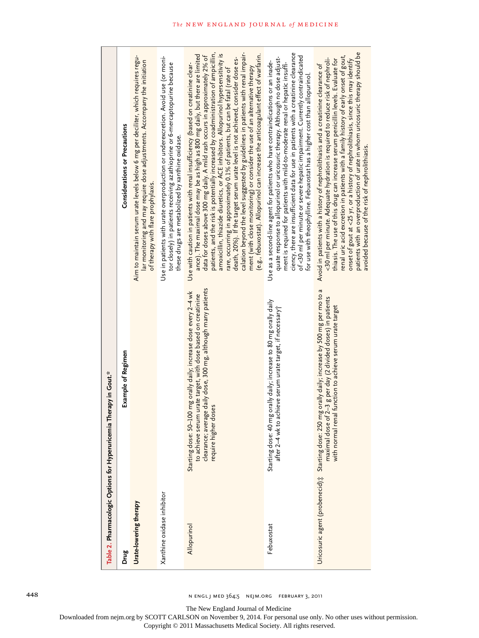| Table 2. Pharmacologic Options for Hyperuricemi<br>Xanthine oxidase inhibitor<br>Urate-lowering therapy<br>Drug | Example of Regimen<br>ia Therapy in Gout.*                                                                                                                                                                                      | Aim to maintain serum urate levels below 6 mg per deciliter, which requires regu-<br>Use in patients with urate overproduction or underexcretion. Avoid use (or moni-<br>lar monitoring and may require dose adjustments. Accompany the initiation<br>tor closely) in patients receiving azathioprine or 6-mercaptopurine because<br><b>Considerations or Precautions</b><br>these drugs are metabolized by xanthine oxidase.<br>of therapy with flare prophylaxis.                                                                                                                                                                                                                                                                                                                                                                                        |
|-----------------------------------------------------------------------------------------------------------------|---------------------------------------------------------------------------------------------------------------------------------------------------------------------------------------------------------------------------------|------------------------------------------------------------------------------------------------------------------------------------------------------------------------------------------------------------------------------------------------------------------------------------------------------------------------------------------------------------------------------------------------------------------------------------------------------------------------------------------------------------------------------------------------------------------------------------------------------------------------------------------------------------------------------------------------------------------------------------------------------------------------------------------------------------------------------------------------------------|
| Allopurinol                                                                                                     | clearance; average daily dose, 300 mg, although many patients<br>Starting dose: 50-100 mg orally daily; increase dose every 2-4 wk<br>to achieve serum urate target, with dose based on creatinine<br>require higher doses      | calation beyond the level suggested by guidelines in patients with renal impair-<br>patients, and the risk is potentially increased by coadministration of ampicillin,<br>(e.g., febuxostat). Allopurinol can increase the anticoagulant effect of warfarin.<br>amoxicillin, thiazide diuretics, or ACE inhibitors. Allopurinol hypersensitivity is<br>ance). The maximal dose may be as high as 800 mg daily, but there are limited<br>data for doses above 300 mg daily. A mild rash occurs in approximately 2% of<br>death, 20%). If the target serum urate level is not achieved, consider dose es-<br>Use with caution in patients with renal insufficiency (based on creatinine clear-<br>rare, occurring in approximately 0.1% of patients, but can be fatal (rate of<br>ment (with close monitoring) or consider the use of an alternative therapy |
| Febuxostat                                                                                                      | Starting dose: 40 mg orally daily; increase to 80 mg orally daily<br>after 2–4 wk to achieve serum urate target, if necessary f                                                                                                 | ciency, there are insufficient data for use in patients with a creatinine clearance<br>of <30 ml per minute or severe hepatic impairment. Currently contraindicated<br>quate response to allopurinol or uricosuric therapy. Although no dose adjust-<br>Use as a second-line agent for patients who have contraindications or an inade-<br>ment is required for patients with mild-to-moderate renal or hepatic insuffi-<br>for use with theophylline. Febuxostat has a higher cost than allopurinol.                                                                                                                                                                                                                                                                                                                                                      |
|                                                                                                                 | Uricosuric agent (probenecid)‡.   Starting dose: 250 mg orally daily; increase by 500 mg per mo to a<br>maximal dose of 2-3 g per day (2 divided doses) in patients<br>with normal renal function to achieve serum urate target | patients with an overproduction of urate in whom uricosuric therapy should be<br>renal uric acid excretion in patients with a family history of early onset of gout,<br><30 ml per minute. Adequate hydration is required to reduce risk of nephroli-<br>thiasis. The use of this drug can increase serum penicillin levels. Evaluate for<br>onset of gout at <25 yr, or a history of nephrolithiasis, since this may identify<br>Avoid in patients with a history of nephrolithiasis and a creatinine clearance of                                                                                                                                                                                                                                                                                                                                        |

The New England Journal of Medicine

Downloaded from nejm.org by SCOTT CARLSON on November 9, 2014. For personal use only. No other uses without permission.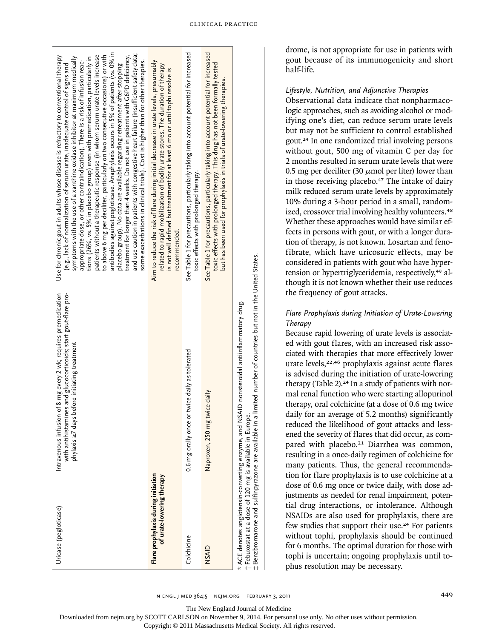| antibodies against pegloticase. Anaphylaxis occurs in 5% of patients (vs. 0% in<br>and use caution in patients with congestive heart failure (insufficient safety data;<br>Use for chronic gout in adults whose disease is refractory to conventional therapy<br>patients without a therapeutic response (in whom serum urate levels increase<br>to above 6 mg per deciliter, particularly on two consecutive occasions) or with<br>treatment for longer than 4 weeks. Do not use in patients with G6PD deficiency,<br>symptoms with the use of a xanthine oxidase inhibitor at maximum medically<br>tions (26%, vs. 5% in placebo group) even with premedication, particularly in<br>appropriate dose, or other contraindication). There is a risk of infusion reac-<br>some exacerbations in clinical trials). Cost is higher than for other therapies.<br>(e.g., lack of normalization of serum urate, inadequate control of signs and<br>placebo group). No data are available regarding retreatment after stopping | Aim to reduce the risk of flare during initial decrease in urate levels, presumably<br>related to rapid mobilization of bodily urate stores. The duration of therapy<br>is not well defined but treatment for at least 6 mo or until tophi resolve is<br>recommended. | See Table 1 for precautions, particularly taking into account potential for increased<br>toxic effects with prolonged therapy. | See Table 1 for precautions, particularly taking into account potential for increased<br>toxic effects with prolonged therapy. This drug has not been formally tested<br>but has been used for prophylaxis in trials of urate-lowering therapies. | . Benzbromarone and sulfinpyrazone are available in a limited number of countries but not in the United States.                                          |
|-------------------------------------------------------------------------------------------------------------------------------------------------------------------------------------------------------------------------------------------------------------------------------------------------------------------------------------------------------------------------------------------------------------------------------------------------------------------------------------------------------------------------------------------------------------------------------------------------------------------------------------------------------------------------------------------------------------------------------------------------------------------------------------------------------------------------------------------------------------------------------------------------------------------------------------------------------------------------------------------------------------------------|-----------------------------------------------------------------------------------------------------------------------------------------------------------------------------------------------------------------------------------------------------------------------|--------------------------------------------------------------------------------------------------------------------------------|---------------------------------------------------------------------------------------------------------------------------------------------------------------------------------------------------------------------------------------------------|----------------------------------------------------------------------------------------------------------------------------------------------------------|
| Intravenous infusion of 8 mg every 2 wk; requires premedication<br>with antihistamines and glucocorticoids; start gout-flare pro-<br>phylaxis ≥7 days before initiating treatment                                                                                                                                                                                                                                                                                                                                                                                                                                                                                                                                                                                                                                                                                                                                                                                                                                       | of urate-lowering therapy                                                                                                                                                                                                                                             | 0.6 mg orally once or twice daily as tolerated                                                                                 | Naproxen, 250 mg twice daily                                                                                                                                                                                                                      | NSAID nonsteroidal antiinflammatory drug.<br>FFebuxostat at a dose of 120 mg is available in Europe.<br>* ACE denotes angiotensin-converting enzyme, and |
| Uricase (pegloticase)                                                                                                                                                                                                                                                                                                                                                                                                                                                                                                                                                                                                                                                                                                                                                                                                                                                                                                                                                                                                   | Flare prophylaxis during initiation                                                                                                                                                                                                                                   | Colchicine                                                                                                                     | NSAID                                                                                                                                                                                                                                             |                                                                                                                                                          |

drome, is not appropriate for use in patients with gout because of its immunogenicity and short half-life.

*Lifestyle, Nutrition, and Adjunctive Therapies*

Observational data indicate that nonpharmacologic approaches, such as avoiding alcohol or modifying one's diet, can reduce serum urate levels but may not be sufficient to control established gout.24 In one randomized trial involving persons without gout, 500 mg of vitamin C per day for 2 months resulted in serum urate levels that were 0.5 mg per deciliter (30  $\mu$ mol per liter) lower than in those receiving placebo.<sup>47</sup> The intake of dairy milk reduced serum urate levels by approximately 10% during a 3-hour period in a small, randomized, crossover trial involving healthy volunteers.<sup>48</sup> Whether these approaches would have similar effects in persons with gout, or with a longer duration of therapy, is not known. Losartan and fenofibrate, which have uricosuric effects, may be considered in patients with gout who have hypertension or hypertriglyceridemia, respectively,<sup>49</sup> although it is not known whether their use reduces the frequency of gout attacks.

# *Flare Prophylaxis during Initiation of Urate-Lowering Therapy*

Because rapid lowering of urate levels is associated with gout flares, with an increased risk associated with therapies that more effectively lower urate levels,<sup>22,46</sup> prophylaxis against acute flares is advised during the initiation of urate-lowering therapy (Table 2).<sup>24</sup> In a study of patients with normal renal function who were starting allopurinol therapy, oral colchicine (at a dose of 0.6 mg twice daily for an average of 5.2 months) significantly reduced the likelihood of gout attacks and lessened the severity of flares that did occur, as compared with placebo.<sup>21</sup> Diarrhea was common, resulting in a once-daily regimen of colchicine for many patients. Thus, the general recommendation for flare prophylaxis is to use colchicine at a dose of 0.6 mg once or twice daily, with dose adjustments as needed for renal impairment, potential drug interactions, or intolerance. Although NSAIDs are also used for prophylaxis, there are few studies that support their use.<sup>24</sup> For patients without tophi, prophylaxis should be continued for 6 months. The optimal duration for those with tophi is uncertain; ongoing prophylaxis until tophus resolution may be necessary.

n engl j med 364;5 nejm.org february 3, 2011 449

The New England Journal of Medicine

Downloaded from nejm.org by SCOTT CARLSON on November 9, 2014. For personal use only. No other uses without permission.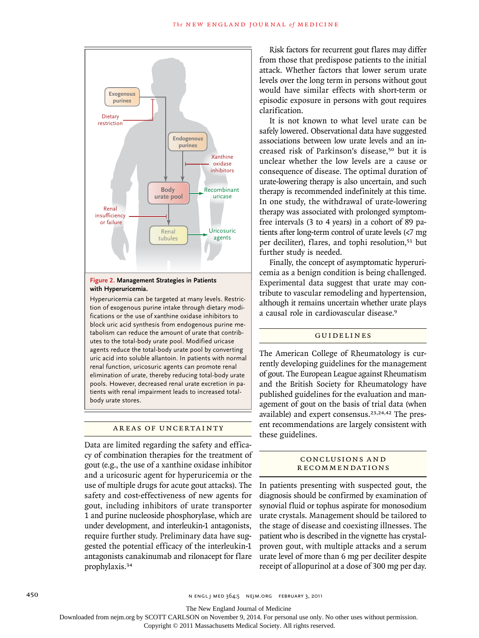



fications or the use of xanthine oxidase inhibitors to utes to the total-body urate pool. Modified uricase Hyperuricemia can be targeted at many levels. Restric- $\cdots$ uric acid into soluble allantoin. In patients with normal renal function, uricosuric agents can promote renal tion of exogenous purine intake through dietary modimeanens of the ase of Adminite exidese immeriors to block uric acid synthesis from endogenous purine metabolism can reduce the amount of urate that contribartistic the total-body urate pool: modified arrease elimination of urate, thereby reducing total-body urate pools. However, decreased renal urate excretion in patients with renal impairment leads to increased totalbody urate stores.

## AREAS OF UNCERTAINTY

Data are limited regarding the safety and efficacy of combination therapies for the treatment of gout (e.g., the use of a xanthine oxidase inhibitor and a uricosuric agent for hyperuricemia or the use of multiple drugs for acute gout attacks). The safety and cost-effectiveness of new agents for gout, including inhibitors of urate transporter 1 and purine nucleoside phosphorylase, which are under development, and interleukin-1 antagonists, require further study. Preliminary data have suggested the potential efficacy of the interleukin-1 antagonists canakinumab and rilonacept for flare prophylaxis.<sup>34</sup>

Risk factors for recurrent gout flares may differ from those that predispose patients to the initial attack. Whether factors that lower serum urate levels over the long term in persons without gout would have similar effects with short-term or episodic exposure in persons with gout requires clarification.

It is not known to what level urate can be safely lowered. Observational data have suggested associations between low urate levels and an increased risk of Parkinson's disease,50 but it is unclear whether the low levels are a cause or consequence of disease. The optimal duration of urate-lowering therapy is also uncertain, and such therapy is recommended indefinitely at this time. In one study, the withdrawal of urate-lowering therapy was associated with prolonged symptomfree intervals (3 to 4 years) in a cohort of 89 patients after long-term control of urate levels (<7 mg per deciliter), flares, and tophi resolution,<sup>51</sup> but further study is needed.

Finally, the concept of asymptomatic hyperuricemia as a benign condition is being challenged. Experimental data suggest that urate may contribute to vascular remodeling and hypertension, although it remains uncertain whether urate plays a causal role in cardiovascular disease.<sup>9</sup>

## Guidelines

The American College of Rheumatology is currently developing guidelines for the management of gout. The European League against Rheumatism and the British Society for Rheumatology have published guidelines for the evaluation and management of gout on the basis of trial data (when available) and expert consensus.23,24,42 The present recommendations are largely consistent with these guidelines.

## CONCLUSIONS AND **RECOMMENDATIONS**

In patients presenting with suspected gout, the diagnosis should be confirmed by examination of synovial fluid or tophus aspirate for monosodium urate crystals. Management should be tailored to the stage of disease and coexisting illnesses. The patient who is described in the vignette has crystalproven gout, with multiple attacks and a serum urate level of more than 6 mg per deciliter despite receipt of allopurinol at a dose of 300 mg per day.

The New England Journal of Medicine

Downloaded from nejm.org by SCOTT CARLSON on November 9, 2014. For personal use only. No other uses without permission.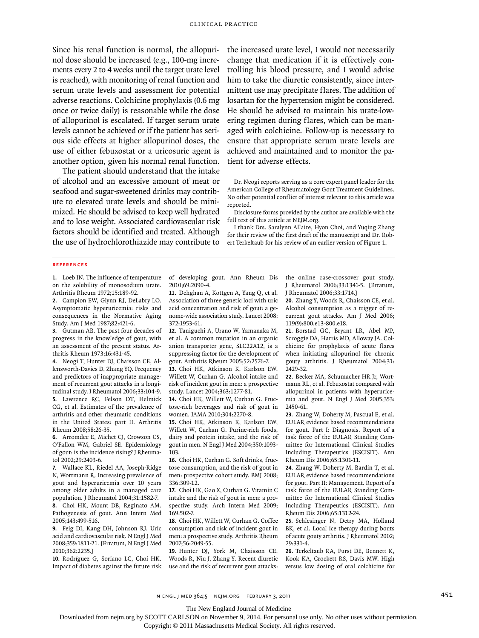Since his renal function is normal, the allopurinol dose should be increased (e.g., 100-mg increments every 2 to 4 weeks until the target urate level is reached), with monitoring of renal function and serum urate levels and assessment for potential adverse reactions. Colchicine prophylaxis (0.6 mg once or twice daily) is reasonable while the dose of allopurinol is escalated. If target serum urate levels cannot be achieved or if the patient has serious side effects at higher allopurinol doses, the use of either febuxostat or a uricosuric agent is another option, given his normal renal function.

The patient should understand that the intake of alcohol and an excessive amount of meat or seafood and sugar-sweetened drinks may contribute to elevated urate levels and should be minimized. He should be advised to keep well hydrated and to lose weight. Associated cardiovascular risk factors should be identified and treated. Although the use of hydrochlorothiazide may contribute to the increased urate level, I would not necessarily change that medication if it is effectively controlling his blood pressure, and I would advise him to take the diuretic consistently, since intermittent use may precipitate flares. The addition of losartan for the hypertension might be considered. He should be advised to maintain his urate-lowering regimen during flares, which can be managed with colchicine. Follow-up is necessary to ensure that appropriate serum urate levels are achieved and maintained and to monitor the patient for adverse effects.

Dr. Neogi reports serving as a core expert panel leader for the American College of Rheumatology Gout Treatment Guidelines. No other potential conflict of interest relevant to this article was reported.

Disclosure forms provided by the author are available with the full text of this article at NEJM.org.

I thank Drs. Saralynn Allaire, Hyon Choi, and Yuqing Zhang for their review of the first draft of the manuscript and Dr. Robert Terkeltaub for his review of an earlier version of Figure 1.

#### **References**

**1.** Loeb JN. The influence of temperature on the solubility of monosodium urate. Arthritis Rheum 1972;15:189-92.

**2.** Campion EW, Glynn RJ, DeLabry LO. Asymptomatic hyperuricemia: risks and consequences in the Normative Aging Study. Am J Med 1987;82:421-6.

**3.** Gutman AB. The past four decades of progress in the knowledge of gout, with an assessment of the present status. Arthritis Rheum 1973;16:431-45.

**4.** Neogi T, Hunter DJ, Chaisson CE, Allensworth-Davies D, Zhang YQ. Frequency and predictors of inappropriate management of recurrent gout attacks in a longitudinal study. J Rheumatol 2006;33:104-9. **5.** Lawrence RC, Felson DT, Helmick CG, et al. Estimates of the prevalence of arthritis and other rheumatic conditions in the United States: part II. Arthritis Rheum 2008;58:26-35.

**6.** Arromdee E, Michet CJ, Crowson CS, O'Fallon WM, Gabriel SE. Epidemiology of gout: is the incidence rising? J Rheumatol 2002;29:2403-6.

**7.** Wallace KL, Riedel AA, Joseph-Ridge N, Wortmann R. Increasing prevalence of gout and hyperuricemia over 10 years among older adults in a managed care population. J Rheumatol 2004;31:1582-7. **8.** Choi HK, Mount DB, Reginato AM. Pathogenesis of gout. Ann Intern Med 2005;143:499-516.

**9.** Feig DI, Kang DH, Johnson RJ. Uric acid and cardiovascular risk. N Engl J Med 2008;359:1811-21. [Erratum, N Engl J Med 2010;362:2235.]

**10.** Rodríguez G, Soriano LC, Choi HK. Impact of diabetes against the future risk of developing gout. Ann Rheum Dis 2010;69:2090-4.

**11.** Dehghan A, Kottgen A, Yang Q, et al. Association of three genetic loci with uric acid concentration and risk of gout: a genome-wide association study. Lancet 2008; 372:1953-61.

**12.** Taniguchi A, Urano W, Yamanaka M, et al. A common mutation in an organic anion transporter gene, SLC22A12, is a suppressing factor for the development of gout. Arthritis Rheum 2005;52:2576-7.

**13.** Choi HK, Atkinson K, Karlson EW, Willett W, Curhan G. Alcohol intake and risk of incident gout in men: a prospective study. Lancet 2004;363:1277-81.

**14.** Choi HK, Willett W, Curhan G. Fructose-rich beverages and risk of gout in women. JAMA 2010;304:2270-8.

**15.** Choi HK, Atkinson K, Karlson EW, Willett W, Curhan G. Purine-rich foods, dairy and protein intake, and the risk of gout in men. N Engl J Med 2004;350:1093- 103.

**16.** Choi HK, Curhan G. Soft drinks, fructose consumption, and the risk of gout in men: prospective cohort study. BMJ 2008; 336:309-12.

**17.** Choi HK, Gao X, Curhan G. Vitamin C intake and the risk of gout in men: a prospective study. Arch Intern Med 2009; 169:502-7.

**18.** Choi HK, Willett W, Curhan G. Coffee consumption and risk of incident gout in men: a prospective study. Arthritis Rheum 2007;56:2049-55.

**19.** Hunter DJ, York M, Chaisson CE, Woods R, Niu J, Zhang Y. Recent diuretic use and the risk of recurrent gout attacks:

the online case-crossover gout study. J Rheumatol 2006;33:1341-5. [Erratum, J Rheumatol 2006;33:1714.]

**20.** Zhang Y, Woods R, Chaisson CE, et al. Alcohol consumption as a trigger of recurrent gout attacks. Am J Med 2006; 119(9):800.e13-800.e18.

**21.** Borstad GC, Bryant LR, Abel MP, Scroggie DA, Harris MD, Alloway JA. Colchicine for prophylaxis of acute flares when initiating allopurinol for chronic gouty arthritis. J Rheumatol 2004;31: 2429-32.

**22.** Becker MA, Schumacher HR Jr, Wortmann RL, et al. Febuxostat compared with allopurinol in patients with hyperuricemia and gout. N Engl J Med 2005;353: 2450-61.

**23.** Zhang W, Doherty M, Pascual E, et al. EULAR evidence based recommendations for gout. Part I: Diagnosis. Report of a task force of the EULAR Standing Committee for International Clinical Studies Including Therapeutics (ESCISIT). Ann Rheum Dis 2006;65:1301-11.

**24.** Zhang W, Doherty M, Bardin T, et al. EULAR evidence based recommendations for gout. Part II: Management. Report of a task force of the EULAR Standing Committee for International Clinical Studies Including Therapeutics (ESCISIT). Ann Rheum Dis 2006;65:1312-24.

**25.** Schlesinger N, Detry MA, Holland BK, et al. Local ice therapy during bouts of acute gouty arthritis. J Rheumatol 2002; 29:331-4.

**26.** Terkeltaub RA, Furst DE, Bennett K, Kook KA, Crockett RS, Davis MW. High versus low dosing of oral colchicine for

n engl j med 364;5 nejm.org february 3, 2011 451

The New England Journal of Medicine

Downloaded from nejm.org by SCOTT CARLSON on November 9, 2014. For personal use only. No other uses without permission.